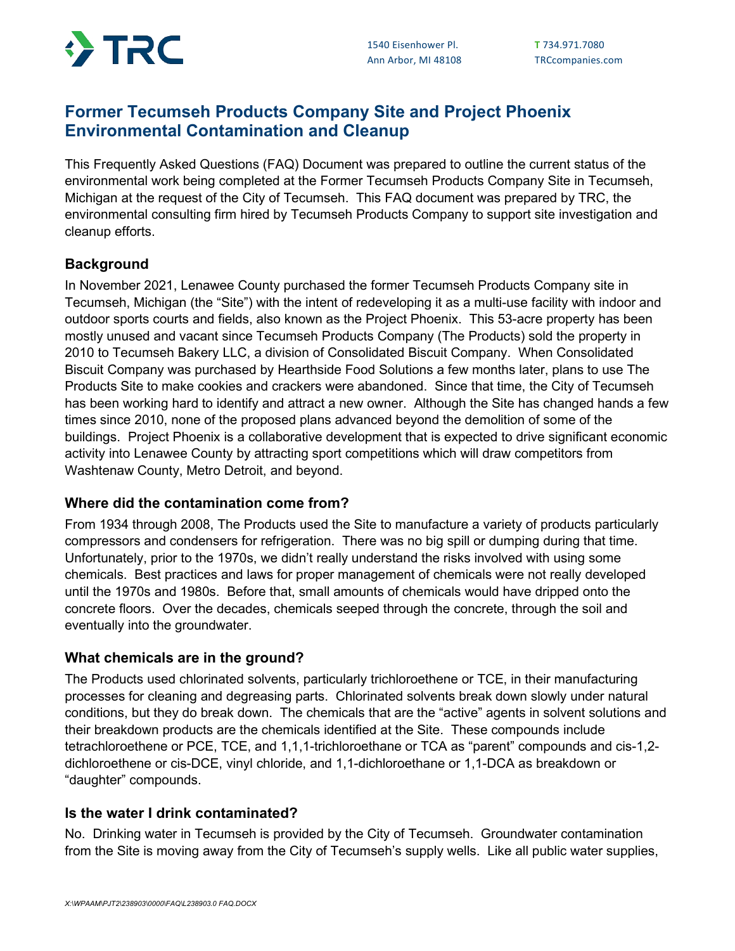

# **Former Tecumseh Products Company Site and Project Phoenix Environmental Contamination and Cleanup**

This Frequently Asked Questions (FAQ) Document was prepared to outline the current status of the environmental work being completed at the Former Tecumseh Products Company Site in Tecumseh, Michigan at the request of the City of Tecumseh. This FAQ document was prepared by TRC, the environmental consulting firm hired by Tecumseh Products Company to support site investigation and cleanup efforts.

## **Background**

In November 2021, Lenawee County purchased the former Tecumseh Products Company site in Tecumseh, Michigan (the "Site") with the intent of redeveloping it as a multi-use facility with indoor and outdoor sports courts and fields, also known as the Project Phoenix. This 53-acre property has been mostly unused and vacant since Tecumseh Products Company (The Products) sold the property in 2010 to Tecumseh Bakery LLC, a division of Consolidated Biscuit Company. When Consolidated Biscuit Company was purchased by Hearthside Food Solutions a few months later, plans to use The Products Site to make cookies and crackers were abandoned. Since that time, the City of Tecumseh has been working hard to identify and attract a new owner. Although the Site has changed hands a few times since 2010, none of the proposed plans advanced beyond the demolition of some of the buildings. Project Phoenix is a collaborative development that is expected to drive significant economic activity into Lenawee County by attracting sport competitions which will draw competitors from Washtenaw County, Metro Detroit, and beyond.

### **Where did the contamination come from?**

From 1934 through 2008, The Products used the Site to manufacture a variety of products particularly compressors and condensers for refrigeration. There was no big spill or dumping during that time. Unfortunately, prior to the 1970s, we didn't really understand the risks involved with using some chemicals. Best practices and laws for proper management of chemicals were not really developed until the 1970s and 1980s. Before that, small amounts of chemicals would have dripped onto the concrete floors. Over the decades, chemicals seeped through the concrete, through the soil and eventually into the groundwater.

### **What chemicals are in the ground?**

The Products used chlorinated solvents, particularly trichloroethene or TCE, in their manufacturing processes for cleaning and degreasing parts. Chlorinated solvents break down slowly under natural conditions, but they do break down. The chemicals that are the "active" agents in solvent solutions and their breakdown products are the chemicals identified at the Site. These compounds include tetrachloroethene or PCE, TCE, and 1,1,1-trichloroethane or TCA as "parent" compounds and cis-1,2 dichloroethene or cis-DCE, vinyl chloride, and 1,1-dichloroethane or 1,1-DCA as breakdown or "daughter" compounds.

### **Is the water I drink contaminated?**

No. Drinking water in Tecumseh is provided by the City of Tecumseh. Groundwater contamination from the Site is moving away from the City of Tecumseh's supply wells. Like all public water supplies,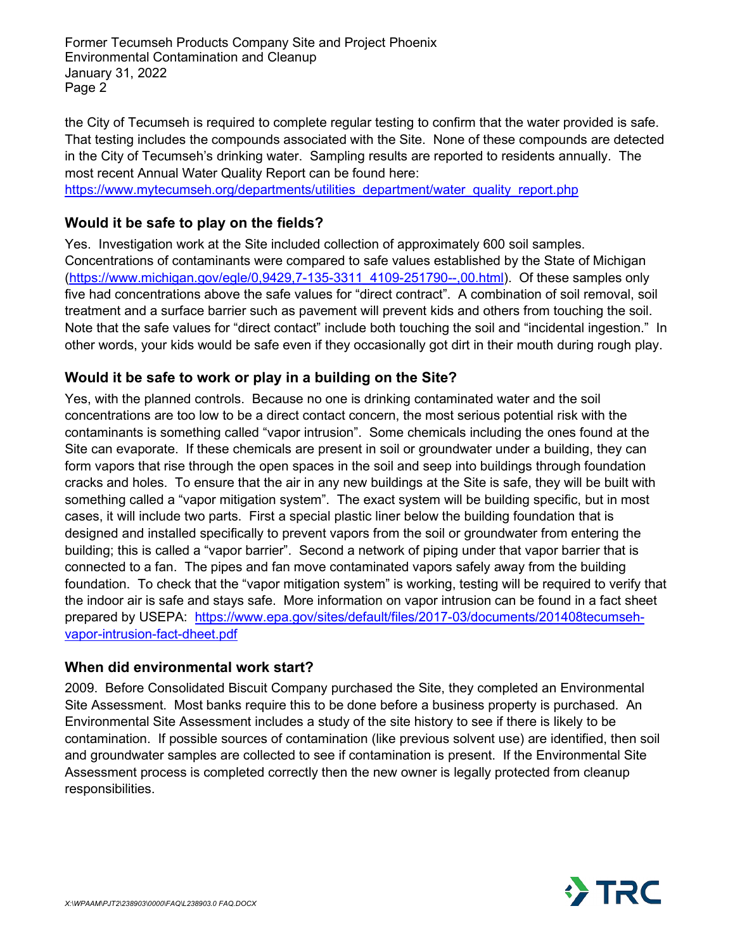Former Tecumseh Products Company Site and Project Phoenix Environmental Contamination and Cleanup January 31, 2022 Page 2

the City of Tecumseh is required to complete regular testing to confirm that the water provided is safe. That testing includes the compounds associated with the Site. None of these compounds are detected in the City of Tecumseh's drinking water. Sampling results are reported to residents annually. The most recent Annual Water Quality Report can be found here:

[https://www.mytecumseh.org/departments/utilities\\_department/water\\_quality\\_report.php](https://www.mytecumseh.org/departments/utilities_department/water_quality_report.php)

## **Would it be safe to play on the fields?**

Yes. Investigation work at the Site included collection of approximately 600 soil samples. Concentrations of contaminants were compared to safe values established by the State of Michigan [\(https://www.michigan.gov/egle/0,9429,7-135-3311\\_4109-251790--,00.html\)](https://www.michigan.gov/egle/0,9429,7-135-3311_4109-251790--,00.html). Of these samples only five had concentrations above the safe values for "direct contract". A combination of soil removal, soil treatment and a surface barrier such as pavement will prevent kids and others from touching the soil. Note that the safe values for "direct contact" include both touching the soil and "incidental ingestion." In other words, your kids would be safe even if they occasionally got dirt in their mouth during rough play.

### **Would it be safe to work or play in a building on the Site?**

Yes, with the planned controls. Because no one is drinking contaminated water and the soil concentrations are too low to be a direct contact concern, the most serious potential risk with the contaminants is something called "vapor intrusion". Some chemicals including the ones found at the Site can evaporate. If these chemicals are present in soil or groundwater under a building, they can form vapors that rise through the open spaces in the soil and seep into buildings through foundation cracks and holes. To ensure that the air in any new buildings at the Site is safe, they will be built with something called a "vapor mitigation system". The exact system will be building specific, but in most cases, it will include two parts. First a special plastic liner below the building foundation that is designed and installed specifically to prevent vapors from the soil or groundwater from entering the building; this is called a "vapor barrier". Second a network of piping under that vapor barrier that is connected to a fan. The pipes and fan move contaminated vapors safely away from the building foundation. To check that the "vapor mitigation system" is working, testing will be required to verify that the indoor air is safe and stays safe. More information on vapor intrusion can be found in a fact sheet prepared by USEPA: [https://www.epa.gov/sites/default/files/2017-03/documents/201408tecumseh](https://www.epa.gov/sites/default/files/2017-03/documents/201408tecumseh-vapor-intrusion-fact-dheet.pdf)[vapor-intrusion-fact-dheet.pdf](https://www.epa.gov/sites/default/files/2017-03/documents/201408tecumseh-vapor-intrusion-fact-dheet.pdf)

### **When did environmental work start?**

2009. Before Consolidated Biscuit Company purchased the Site, they completed an Environmental Site Assessment. Most banks require this to be done before a business property is purchased. An Environmental Site Assessment includes a study of the site history to see if there is likely to be contamination. If possible sources of contamination (like previous solvent use) are identified, then soil and groundwater samples are collected to see if contamination is present. If the Environmental Site Assessment process is completed correctly then the new owner is legally protected from cleanup responsibilities.

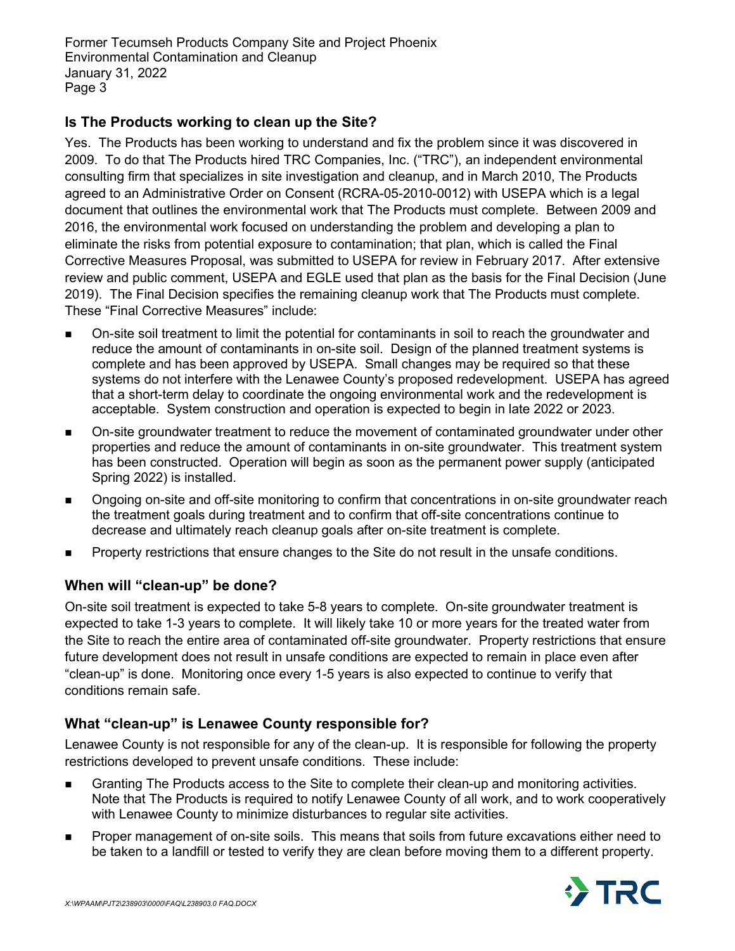Former Tecumseh Products Company Site and Project Phoenix Environmental Contamination and Cleanup January 31, 2022 Page 3

## **Is The Products working to clean up the Site?**

Yes. The Products has been working to understand and fix the problem since it was discovered in 2009. To do that The Products hired TRC Companies, Inc. ("TRC"), an independent environmental consulting firm that specializes in site investigation and cleanup, and in March 2010, The Products agreed to an Administrative Order on Consent (RCRA-05-2010-0012) with USEPA which is a legal document that outlines the environmental work that The Products must complete. Between 2009 and 2016, the environmental work focused on understanding the problem and developing a plan to eliminate the risks from potential exposure to contamination; that plan, which is called the Final Corrective Measures Proposal, was submitted to USEPA for review in February 2017. After extensive review and public comment, USEPA and EGLE used that plan as the basis for the Final Decision (June 2019). The Final Decision specifies the remaining cleanup work that The Products must complete. These "Final Corrective Measures" include:

- On-site soil treatment to limit the potential for contaminants in soil to reach the groundwater and reduce the amount of contaminants in on-site soil. Design of the planned treatment systems is complete and has been approved by USEPA. Small changes may be required so that these systems do not interfere with the Lenawee County's proposed redevelopment. USEPA has agreed that a short-term delay to coordinate the ongoing environmental work and the redevelopment is acceptable. System construction and operation is expected to begin in late 2022 or 2023.
- On-site groundwater treatment to reduce the movement of contaminated groundwater under other properties and reduce the amount of contaminants in on-site groundwater. This treatment system has been constructed. Operation will begin as soon as the permanent power supply (anticipated Spring 2022) is installed.
- Ongoing on-site and off-site monitoring to confirm that concentrations in on-site groundwater reach the treatment goals during treatment and to confirm that off-site concentrations continue to decrease and ultimately reach cleanup goals after on-site treatment is complete.
- Property restrictions that ensure changes to the Site do not result in the unsafe conditions.

### **When will "clean-up" be done?**

On-site soil treatment is expected to take 5-8 years to complete. On-site groundwater treatment is expected to take 1-3 years to complete. It will likely take 10 or more years for the treated water from the Site to reach the entire area of contaminated off-site groundwater. Property restrictions that ensure future development does not result in unsafe conditions are expected to remain in place even after "clean-up" is done. Monitoring once every 1-5 years is also expected to continue to verify that conditions remain safe.

## **What "clean-up" is Lenawee County responsible for?**

Lenawee County is not responsible for any of the clean-up. It is responsible for following the property restrictions developed to prevent unsafe conditions. These include:

- Granting The Products access to the Site to complete their clean-up and monitoring activities. Note that The Products is required to notify Lenawee County of all work, and to work cooperatively with Lenawee County to minimize disturbances to regular site activities.
- Proper management of on-site soils. This means that soils from future excavations either need to be taken to a landfill or tested to verify they are clean before moving them to a different property.